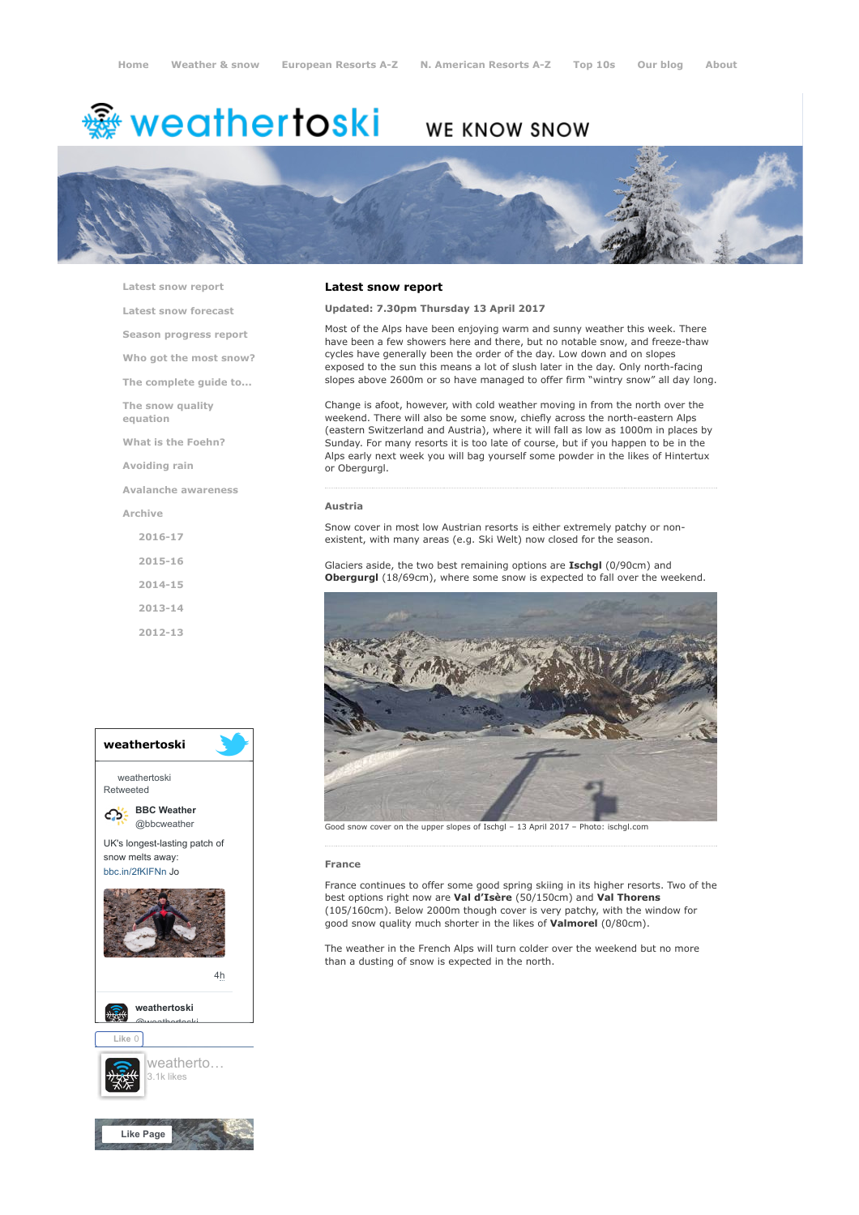# **※ weathertoski**

# WE KNOW SNOW



[Latest snow report](https://www.weathertoski.co.uk/weather-snow/latest-snow-report/)

[Latest snow forecast](https://www.weathertoski.co.uk/weather-snow/latest-snow-forecast/)

[Season progress report](https://www.weathertoski.co.uk/weather-snow/season-progress-report/)

[Who got the most snow?](https://www.weathertoski.co.uk/weather-snow/who-got-the-most-snow/) [The complete guide to...](https://www.weathertoski.co.uk/weather-snow/the-complete-guide-to/)

[The snow quality](https://www.weathertoski.co.uk/weather-snow/the-snow-quality-equation/)

equation

[What is the Foehn?](https://www.weathertoski.co.uk/weather-snow/what-is-the-foehn/)

[Avoiding rain](https://www.weathertoski.co.uk/weather-snow/avoiding-rain/)

[Avalanche awareness](https://www.weathertoski.co.uk/weather-snow/avalanche-awareness/)

[Archive](https://www.weathertoski.co.uk/weather-snow/archive/)

[2016-17](https://www.weathertoski.co.uk/weather-snow/archive/2016-17/) [2015-16](https://www.weathertoski.co.uk/weather-snow/archive/2015-16/)

[2014-15](https://www.weathertoski.co.uk/weather-snow/archive/2014-15/)

[2013-14](https://www.weathertoski.co.uk/weather-snow/archive/2013-14/)

[2012-13](https://www.weathertoski.co.uk/weather-snow/archive/2012-13/)



# Latest snow report

# Updated: 7.30pm Thursday 13 April 2017

Most of the Alps have been enjoying warm and sunny weather this week. There have been a few showers here and there, but no notable snow, and freeze-thaw cycles have generally been the order of the day. Low down and on slopes exposed to the sun this means a lot of slush later in the day. Only north-facing slopes above 2600m or so have managed to offer firm "wintry snow" all day long.

Change is afoot, however, with cold weather moving in from the north over the weekend. There will also be some snow, chiefly across the north-eastern Alps (eastern Switzerland and Austria), where it will fall as low as 1000m in places by Sunday. For many resorts it is too late of course, but if you happen to be in the Alps early next week you will bag yourself some powder in the likes of Hintertux or Obergurgl.

### Austria

Snow cover in most low Austrian resorts is either extremely patchy or nonexistent, with many areas (e.g. Ski Welt) now closed for the season.

Glaciers aside, the two best remaining options are Ischgl (0/90cm) and Obergurgl (18/69cm), where some snow is expected to fall over the weekend.



Good snow cover on the upper slopes of Ischgl – 13 April 2017 – Photo: ischgl.com

#### France

France continues to offer some good spring skiing in its higher resorts. Two of the best options right now are Val d'Isère (50/150cm) and Val Thorens (105/160cm). Below 2000m though cover is very patchy, with the window for good snow quality much shorter in the likes of Valmorel (0/80cm).

The weather in the French Alps will turn colder over the weekend but no more than a dusting of snow is expected in the north.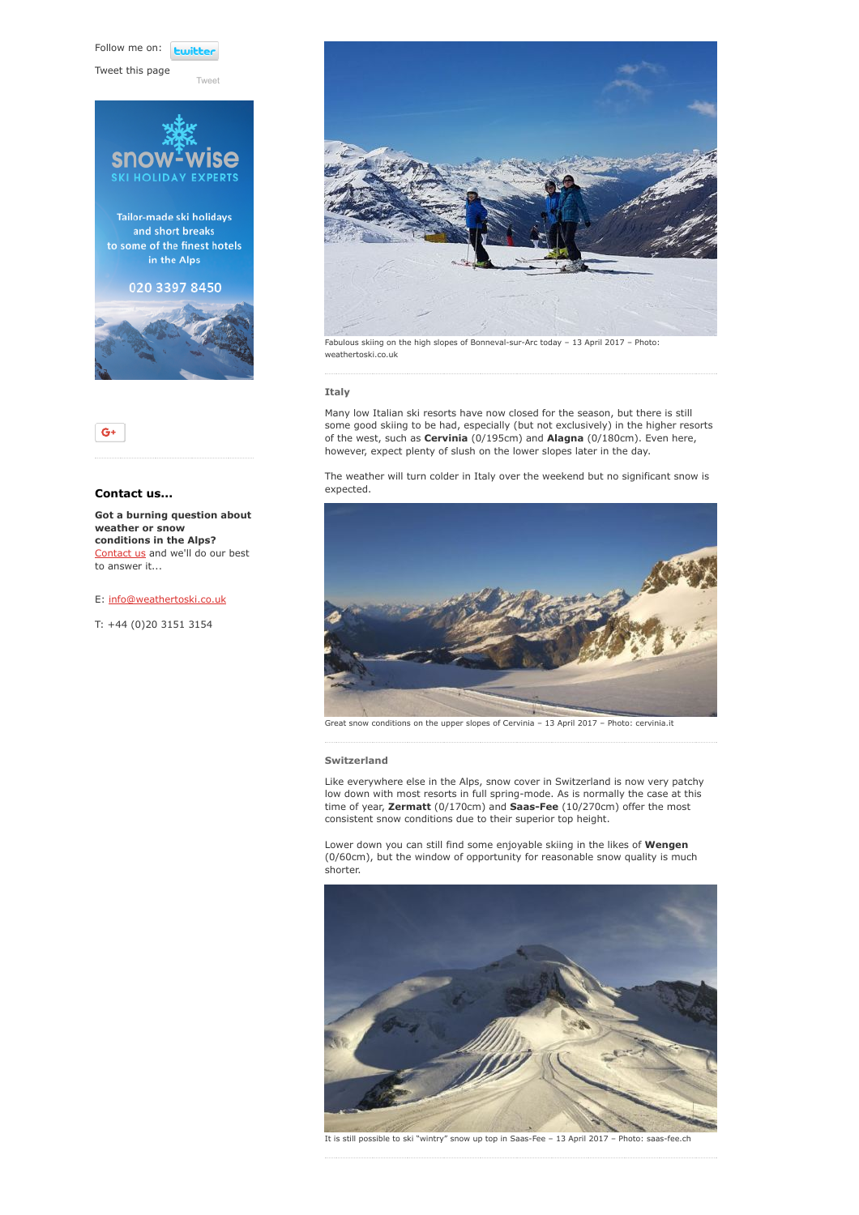Follow me on: *<u>twitte</u>* 

[Tweet](https://twitter.com/intent/tweet?original_referer=https%3A%2F%2Fwww.weathertoski.co.uk%2Fweather-snow%2Farchive%2Fsnow-report-13-04-2017%2F&ref_src=twsrc%5Etfw&text=Weather%20to%20ski%20-%20Snow%20report%20-%2013%20April%202017&tw_p=tweetbutton&url=https%3A%2F%2Fwww.weathertoski.co.uk%2Fweather-snow%2Farchive%2Fsnow-report-13-04-2017%2F)

Tweet this page





# Contact us...

Got a burning question about weather or snow conditions in the Alps? [Contact us](https://www.weathertoski.co.uk/about-1/contact-us/) and we'll do our best to answer it...

## E: [info@weathertoski.co.uk](mailto:fraser@weathertoski.co.uk)

T: +44 (0)20 3151 3154



Fabulous skiing on the high slopes of Bonneval-sur-Arc today – 13 April 2017 – Photo: weathertoski.co.uk

# Italy

Many low Italian ski resorts have now closed for the season, but there is still some good skiing to be had, especially (but not exclusively) in the higher resorts of the west, such as Cervinia (0/195cm) and Alagna (0/180cm). Even here, however, expect plenty of slush on the lower slopes later in the day.

The weather will turn colder in Italy over the weekend but no significant snow is expected.



Great snow conditions on the upper slopes of Cervinia – 13 April 2017 – Photo: cervinia.it

#### Switzerland

Like everywhere else in the Alps, snow cover in Switzerland is now very patchy low down with most resorts in full spring-mode. As is normally the case at this time of year, Zermatt (0/170cm) and Saas-Fee (10/270cm) offer the most consistent snow conditions due to their superior top height.

Lower down you can still find some enjoyable skiing in the likes of Wengen (0/60cm), but the window of opportunity for reasonable snow quality is much shorter.



It is still possible to ski "wintry" snow up top in Saas-Fee – 13 April 2017 – Photo: saas-fee.ch